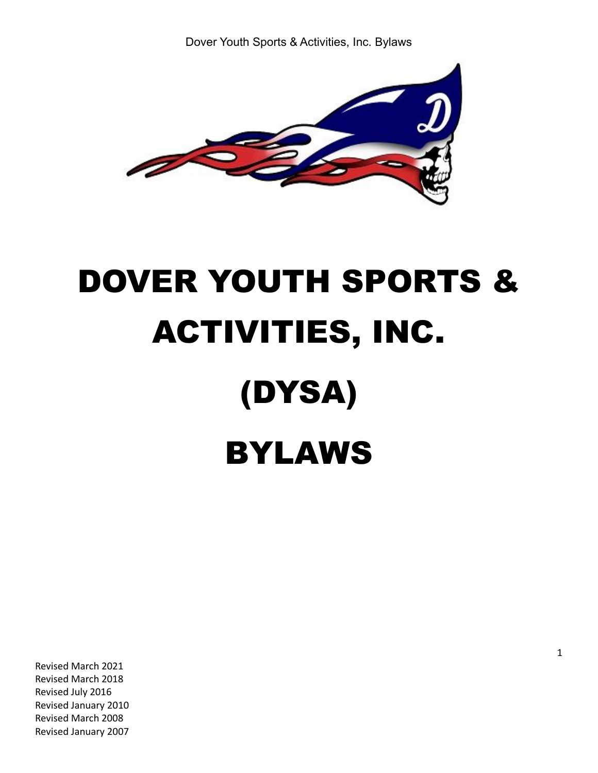Dover Youth Sports & Activities, Inc. Bylaws



# DOVER YOUTH SPORTS & ACTIVITIES, INC. (DYSA) BYLAWS

Revised March 2021 Revised March 2018 Revised July 2016 Revised January 2010 Revised March 2008 Revised January 2007

1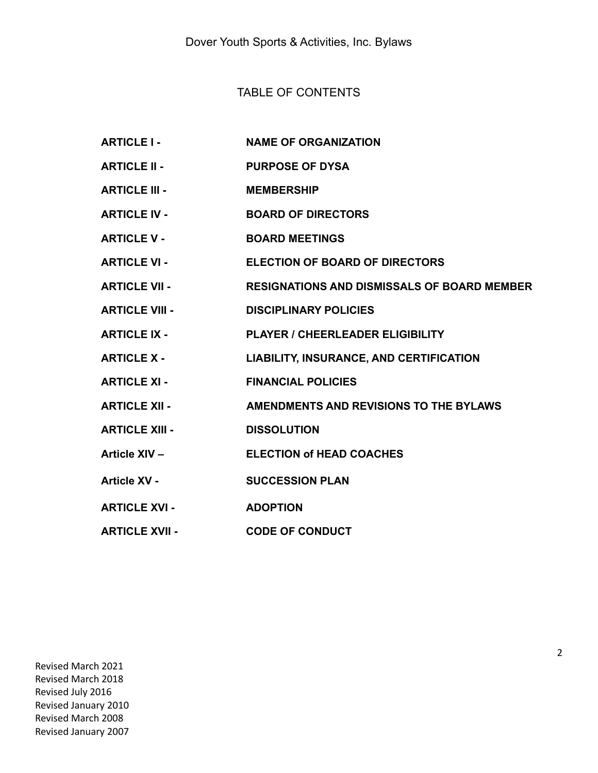#### TABLE OF CONTENTS

- **ARTICLE I - NAME OF ORGANIZATION**
- **ARTICLE II - PURPOSE OF DYSA**
- **ARTICLE III - MEMBERSHIP**
- **ARTICLE IV - BOARD OF DIRECTORS**
- **ARTICLE V - BOARD MEETINGS**
- **ARTICLE VI - ELECTION OF BOARD OF DIRECTORS**
- **ARTICLE VII - RESIGNATIONS AND DISMISSALS OF BOARD MEMBER**
- **ARTICLE VIII - DISCIPLINARY POLICIES**
- **ARTICLE IX - PLAYER / CHEERLEADER ELIGIBILITY**
- **ARTICLE X - LIABILITY, INSURANCE, AND CERTIFICATION**
- **ARTICLE XI - FINANCIAL POLICIES**
- **ARTICLE XII AMENDMENTS AND REVISIONS TO THE BYLAWS**
- **ARTICLE XIII - DISSOLUTION**
- **Article XIV – ELECTION of HEAD COACHES**
- **Article XV - SUCCESSION PLAN**
- **ARTICLE XVI - ADOPTION**
- **ARTICLE XVII - CODE OF CONDUCT**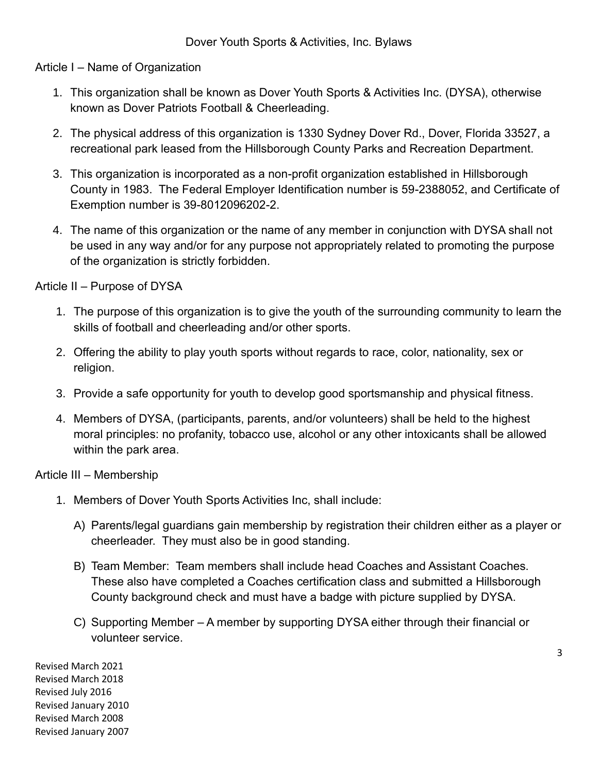Article I – Name of Organization

- 1. This organization shall be known as Dover Youth Sports & Activities Inc. (DYSA), otherwise known as Dover Patriots Football & Cheerleading.
- 2. The physical address of this organization is 1330 Sydney Dover Rd., Dover, Florida 33527, a recreational park leased from the Hillsborough County Parks and Recreation Department.
- 3. This organization is incorporated as a non-profit organization established in Hillsborough County in 1983. The Federal Employer Identification number is 59-2388052, and Certificate of Exemption number is 39-8012096202-2.
- 4. The name of this organization or the name of any member in conjunction with DYSA shall not be used in any way and/or for any purpose not appropriately related to promoting the purpose of the organization is strictly forbidden.

Article II – Purpose of DYSA

- 1. The purpose of this organization is to give the youth of the surrounding community to learn the skills of football and cheerleading and/or other sports.
- 2. Offering the ability to play youth sports without regards to race, color, nationality, sex or religion.
- 3. Provide a safe opportunity for youth to develop good sportsmanship and physical fitness.
- 4. Members of DYSA, (participants, parents, and/or volunteers) shall be held to the highest moral principles: no profanity, tobacco use, alcohol or any other intoxicants shall be allowed within the park area.

Article III – Membership

- 1. Members of Dover Youth Sports Activities Inc, shall include:
	- A) Parents/legal guardians gain membership by registration their children either as a player or cheerleader. They must also be in good standing.
	- B) Team Member: Team members shall include head Coaches and Assistant Coaches. These also have completed a Coaches certification class and submitted a Hillsborough County background check and must have a badge with picture supplied by DYSA.
	- C) Supporting Member A member by supporting DYSA either through their financial or volunteer service.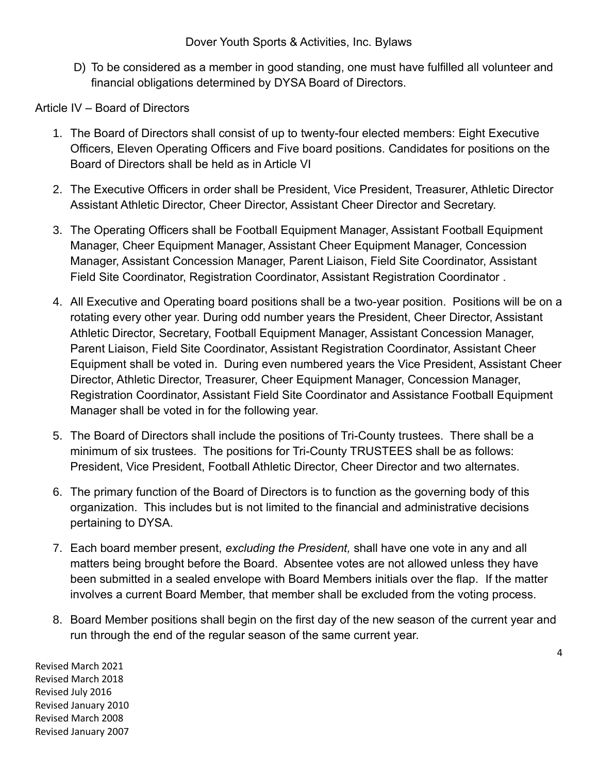D) To be considered as a member in good standing, one must have fulfilled all volunteer and financial obligations determined by DYSA Board of Directors.

Article IV – Board of Directors

- 1. The Board of Directors shall consist of up to twenty-four elected members: Eight Executive Officers, Eleven Operating Officers and Five board positions. Candidates for positions on the Board of Directors shall be held as in Article VI
- 2. The Executive Officers in order shall be President, Vice President, Treasurer, Athletic Director Assistant Athletic Director, Cheer Director, Assistant Cheer Director and Secretary.
- 3. The Operating Officers shall be Football Equipment Manager, Assistant Football Equipment Manager, Cheer Equipment Manager, Assistant Cheer Equipment Manager, Concession Manager, Assistant Concession Manager, Parent Liaison, Field Site Coordinator, Assistant Field Site Coordinator, Registration Coordinator, Assistant Registration Coordinator .
- 4. All Executive and Operating board positions shall be a two-year position. Positions will be on a rotating every other year. During odd number years the President, Cheer Director, Assistant Athletic Director, Secretary, Football Equipment Manager, Assistant Concession Manager, Parent Liaison, Field Site Coordinator, Assistant Registration Coordinator, Assistant Cheer Equipment shall be voted in. During even numbered years the Vice President, Assistant Cheer Director, Athletic Director, Treasurer, Cheer Equipment Manager, Concession Manager, Registration Coordinator, Assistant Field Site Coordinator and Assistance Football Equipment Manager shall be voted in for the following year.
- 5. The Board of Directors shall include the positions of Tri-County trustees. There shall be a minimum of six trustees. The positions for Tri-County TRUSTEES shall be as follows: President, Vice President, Football Athletic Director, Cheer Director and two alternates.
- 6. The primary function of the Board of Directors is to function as the governing body of this organization. This includes but is not limited to the financial and administrative decisions pertaining to DYSA.
- 7. Each board member present, *excluding the President,* shall have one vote in any and all matters being brought before the Board. Absentee votes are not allowed unless they have been submitted in a sealed envelope with Board Members initials over the flap. If the matter involves a current Board Member, that member shall be excluded from the voting process.
- 8. Board Member positions shall begin on the first day of the new season of the current year and run through the end of the regular season of the same current year.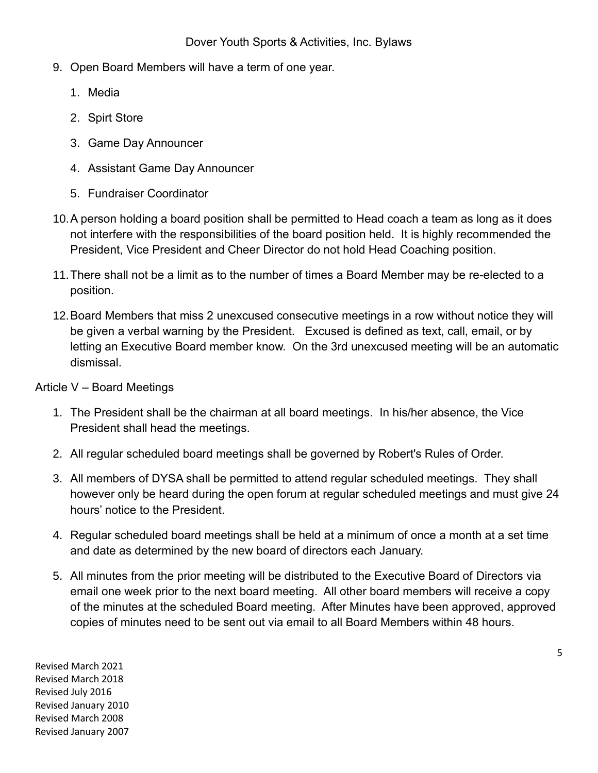- 9. Open Board Members will have a term of one year.
	- 1. Media
	- 2. Spirt Store
	- 3. Game Day Announcer
	- 4. Assistant Game Day Announcer
	- 5. Fundraiser Coordinator
- 10.A person holding a board position shall be permitted to Head coach a team as long as it does not interfere with the responsibilities of the board position held. It is highly recommended the President, Vice President and Cheer Director do not hold Head Coaching position.
- 11.There shall not be a limit as to the number of times a Board Member may be re-elected to a position.
- 12.Board Members that miss 2 unexcused consecutive meetings in a row without notice they will be given a verbal warning by the President. Excused is defined as text, call, email, or by letting an Executive Board member know. On the 3rd unexcused meeting will be an automatic dismissal.

Article V – Board Meetings

- 1. The President shall be the chairman at all board meetings. In his/her absence, the Vice President shall head the meetings.
- 2. All regular scheduled board meetings shall be governed by Robert's Rules of Order.
- 3. All members of DYSA shall be permitted to attend regular scheduled meetings. They shall however only be heard during the open forum at regular scheduled meetings and must give 24 hours' notice to the President.
- 4. Regular scheduled board meetings shall be held at a minimum of once a month at a set time and date as determined by the new board of directors each January.
- 5. All minutes from the prior meeting will be distributed to the Executive Board of Directors via email one week prior to the next board meeting. All other board members will receive a copy of the minutes at the scheduled Board meeting. After Minutes have been approved, approved copies of minutes need to be sent out via email to all Board Members within 48 hours.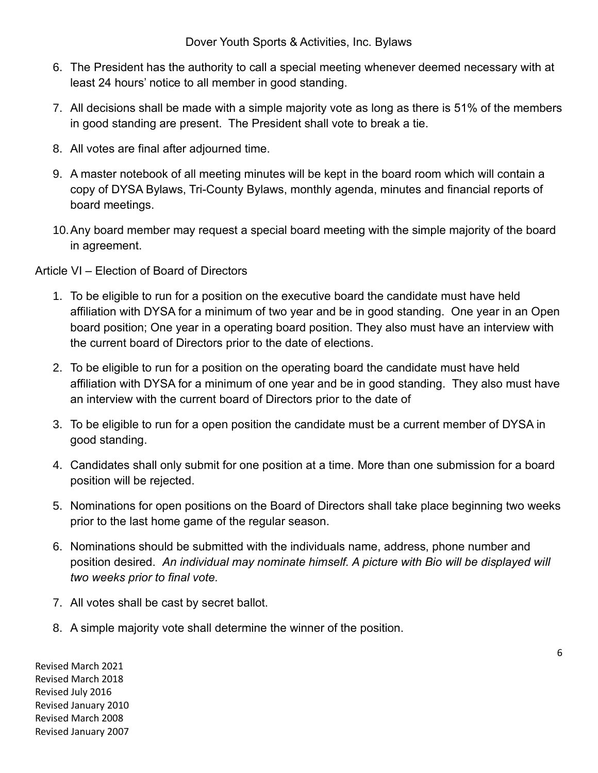- 6. The President has the authority to call a special meeting whenever deemed necessary with at least 24 hours' notice to all member in good standing.
- 7. All decisions shall be made with a simple majority vote as long as there is 51% of the members in good standing are present. The President shall vote to break a tie.
- 8. All votes are final after adjourned time.
- 9. A master notebook of all meeting minutes will be kept in the board room which will contain a copy of DYSA Bylaws, Tri-County Bylaws, monthly agenda, minutes and financial reports of board meetings.
- 10.Any board member may request a special board meeting with the simple majority of the board in agreement.

Article VI – Election of Board of Directors

- 1. To be eligible to run for a position on the executive board the candidate must have held affiliation with DYSA for a minimum of two year and be in good standing. One year in an Open board position; One year in a operating board position. They also must have an interview with the current board of Directors prior to the date of elections.
- 2. To be eligible to run for a position on the operating board the candidate must have held affiliation with DYSA for a minimum of one year and be in good standing. They also must have an interview with the current board of Directors prior to the date of
- 3. To be eligible to run for a open position the candidate must be a current member of DYSA in good standing.
- 4. Candidates shall only submit for one position at a time. More than one submission for a board position will be rejected.
- 5. Nominations for open positions on the Board of Directors shall take place beginning two weeks prior to the last home game of the regular season.
- 6. Nominations should be submitted with the individuals name, address, phone number and position desired. An individual may nominate himself. A picture with Bio will be displayed will *two weeks prior to final vote.*
- 7. All votes shall be cast by secret ballot.
- 8. A simple majority vote shall determine the winner of the position.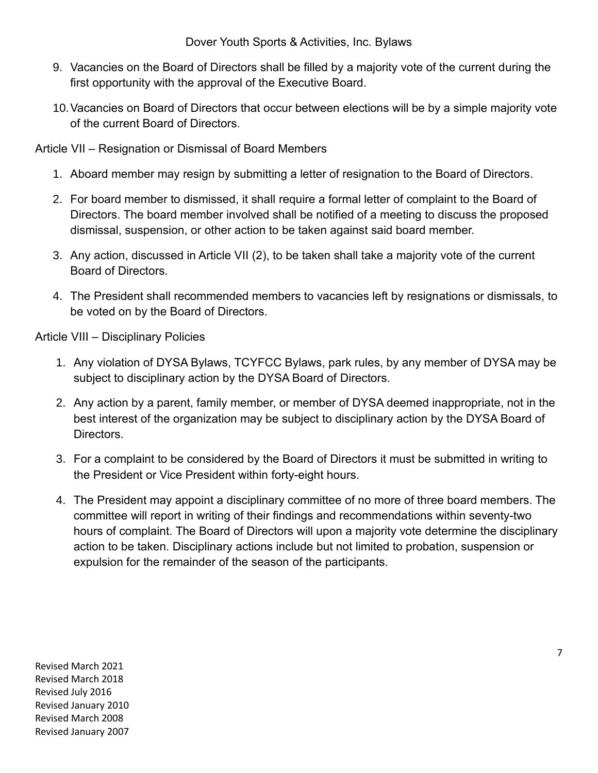- 9. Vacancies on the Board of Directors shall be filled by a majority vote of the current during the first opportunity with the approval of the Executive Board.
- 10.Vacancies on Board of Directors that occur between elections will be by a simple majority vote of the current Board of Directors.

Article VII – Resignation or Dismissal of Board Members

- 1. Aboard member may resign by submitting a letter of resignation to the Board of Directors.
- 2. For board member to dismissed, it shall require a formal letter of complaint to the Board of Directors. The board member involved shall be notified of a meeting to discuss the proposed dismissal, suspension, or other action to be taken against said board member.
- 3. Any action, discussed in Article VII (2), to be taken shall take a majority vote of the current Board of Directors.
- 4. The President shall recommended members to vacancies left by resignations or dismissals, to be voted on by the Board of Directors.

Article VIII – Disciplinary Policies

- 1. Any violation of DYSA Bylaws, TCYFCC Bylaws, park rules, by any member of DYSA may be subject to disciplinary action by the DYSA Board of Directors.
- 2. Any action by a parent, family member, or member of DYSA deemed inappropriate, not in the best interest of the organization may be subject to disciplinary action by the DYSA Board of Directors.
- 3. For a complaint to be considered by the Board of Directors it must be submitted in writing to the President or Vice President within forty-eight hours.
- 4. The President may appoint a disciplinary committee of no more of three board members. The committee will report in writing of their findings and recommendations within seventy-two hours of complaint. The Board of Directors will upon a majority vote determine the disciplinary action to be taken. Disciplinary actions include but not limited to probation, suspension or expulsion for the remainder of the season of the participants.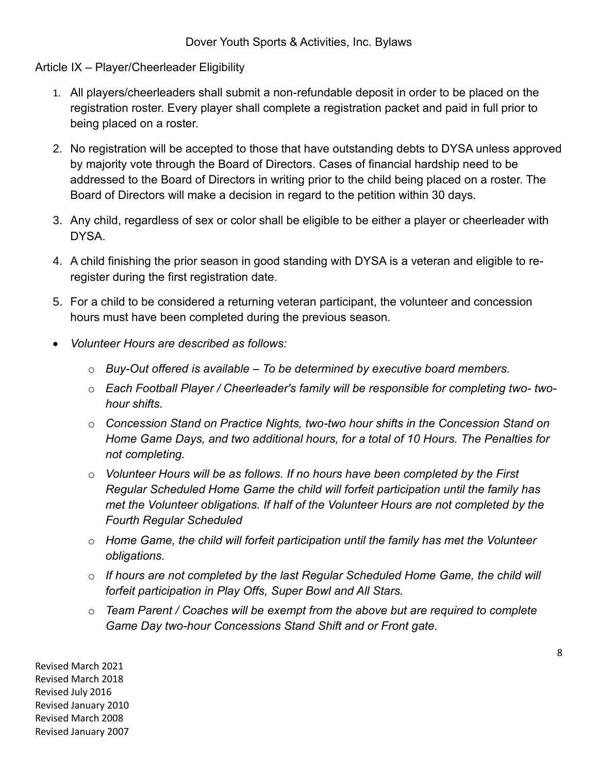#### Article IX – Player/Cheerleader Eligibility

- 1. All players/cheerleaders shall submit a non-refundable deposit in order to be placed on the registration roster. Every player shall complete a registration packet and paid in full prior to being placed on a roster.
- 2. No registration will be accepted to those that have outstanding debts to DYSA unless approved by majority vote through the Board of Directors. Cases of financial hardship need to be addressed to the Board of Directors in writing prior to the child being placed on a roster. The Board of Directors will make a decision in regard to the petition within 30 days.
- 3. Any child, regardless of sex or color shall be eligible to be either a player or cheerleader with DYSA.
- 4. A child finishing the prior season in good standing with DYSA is a veteran and eligible to reregister during the first registration date.
- 5. For a child to be considered a returning veteran participant, the volunteer and concession hours must have been completed during the previous season.
- *Volunteer Hours are described as follows:*
	- o *Buy-Out offered is available – To be determined by executive board members.*
	- o *Each Football Player / Cheerleader's family will be responsible for completing two- twohour shifts.*
	- o *Concession Stand on Practice Nights, two-two hour shifts in the Concession Stand on Home Game Days, and two additional hours, for a total of 10 Hours. The Penalties for not completing.*
	- o *Volunteer Hours will be as follows. If no hours have been completed by the First Regular Scheduled Home Game the child will forfeit participation until the family has met the Volunteer obligations. If half of the Volunteer Hours are not completed by the Fourth Regular Scheduled*
	- o *Home Game, the child will forfeit participation until the family has met the Volunteer obligations.*
	- o *If hours are not completed by the last Regular Scheduled Home Game, the child will forfeit participation in Play Offs, Super Bowl and All Stars.*
	- o *Team Parent / Coaches will be exempt from the above but are required to complete Game Day two-hour Concessions Stand Shift and or Front gate.*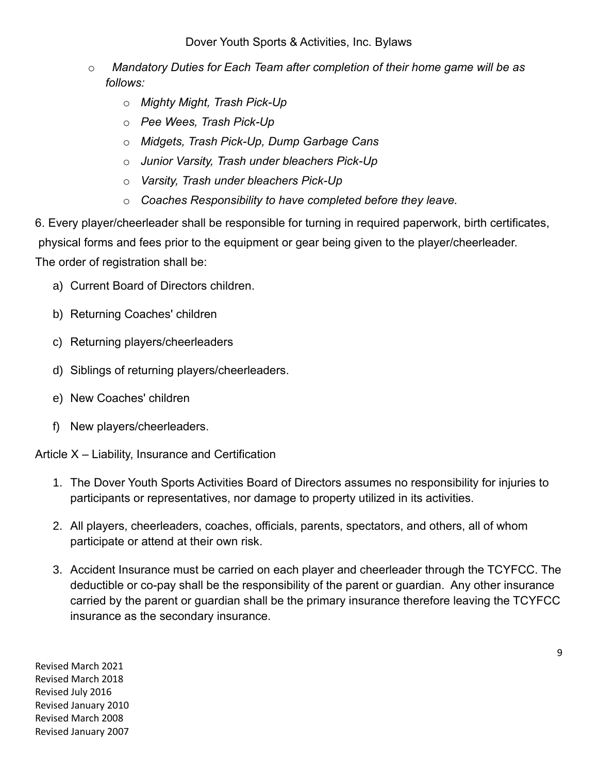- o *Mandatory Duties for Each Team after completion of their home game will be as follows:*
	- o *Mighty Might, Trash Pick-Up*
	- o *Pee Wees, Trash Pick-Up*
	- o *Midgets, Trash Pick-Up, Dump Garbage Cans*
	- o *Junior Varsity, Trash under bleachers Pick-Up*
	- o *Varsity, Trash under bleachers Pick-Up*
	- o *Coaches Responsibility to have completed before they leave.*

6. Every player/cheerleader shall be responsible for turning in required paperwork, birth certificates, physical forms and fees prior to the equipment or gear being given to the player/cheerleader. The order of registration shall be:

- a) Current Board of Directors children.
- b) Returning Coaches' children
- c) Returning players/cheerleaders
- d) Siblings of returning players/cheerleaders.
- e) New Coaches' children
- f) New players/cheerleaders.

Article X – Liability, Insurance and Certification

- 1. The Dover Youth Sports Activities Board of Directors assumes no responsibility for injuries to participants or representatives, nor damage to property utilized in its activities.
- 2. All players, cheerleaders, coaches, officials, parents, spectators, and others, all of whom participate or attend at their own risk.
- 3. Accident Insurance must be carried on each player and cheerleader through the TCYFCC. The deductible or co-pay shall be the responsibility of the parent or guardian. Any other insurance carried by the parent or guardian shall be the primary insurance therefore leaving the TCYFCC insurance as the secondary insurance.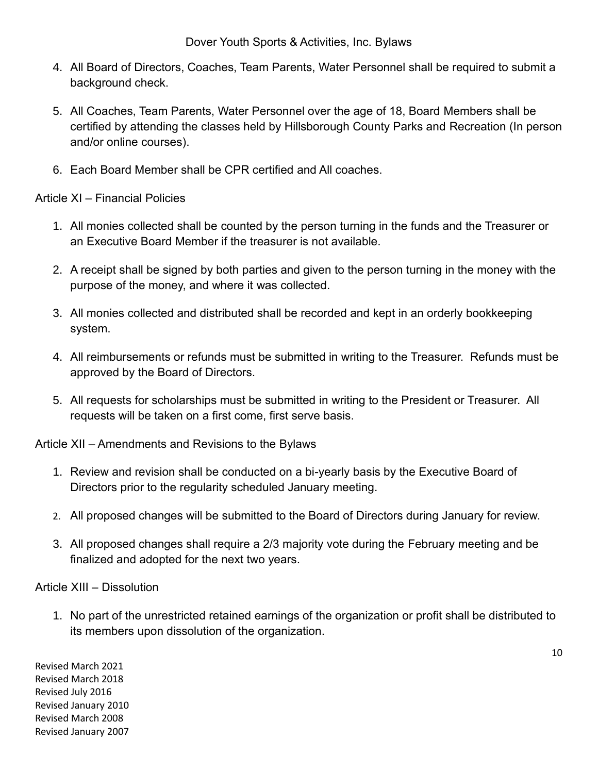- 4. All Board of Directors, Coaches, Team Parents, Water Personnel shall be required to submit a background check.
- 5. All Coaches, Team Parents, Water Personnel over the age of 18, Board Members shall be certified by attending the classes held by Hillsborough County Parks and Recreation (In person and/or online courses).
- 6. Each Board Member shall be CPR certified and All coaches.

Article XI – Financial Policies

- 1. All monies collected shall be counted by the person turning in the funds and the Treasurer or an Executive Board Member if the treasurer is not available.
- 2. A receipt shall be signed by both parties and given to the person turning in the money with the purpose of the money, and where it was collected.
- 3. All monies collected and distributed shall be recorded and kept in an orderly bookkeeping system.
- 4. All reimbursements or refunds must be submitted in writing to the Treasurer. Refunds must be approved by the Board of Directors.
- 5. All requests for scholarships must be submitted in writing to the President or Treasurer. All requests will be taken on a first come, first serve basis.

Article XII – Amendments and Revisions to the Bylaws

- 1. Review and revision shall be conducted on a bi-yearly basis by the Executive Board of Directors prior to the regularity scheduled January meeting.
- 2. All proposed changes will be submitted to the Board of Directors during January for review.
- 3. All proposed changes shall require a 2/3 majority vote during the February meeting and be finalized and adopted for the next two years.

Article XIII – Dissolution

1. No part of the unrestricted retained earnings of the organization or profit shall be distributed to its members upon dissolution of the organization.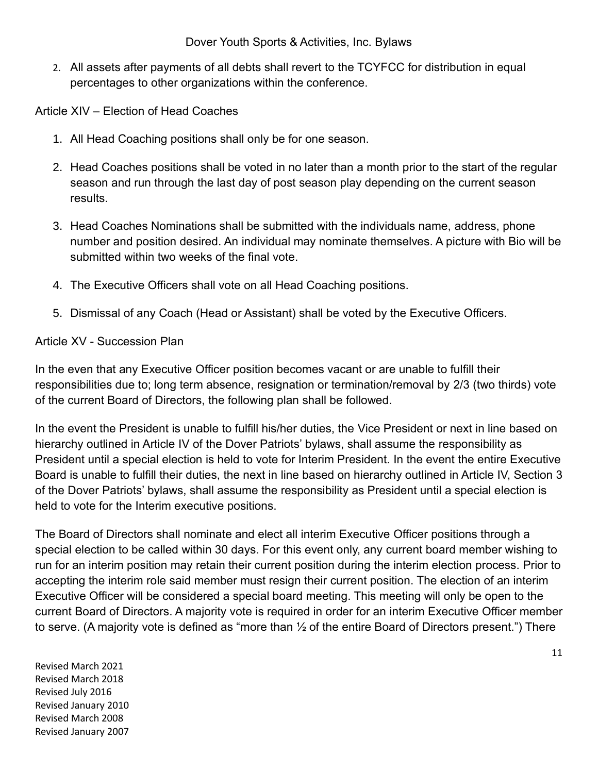2. All assets after payments of all debts shall revert to the TCYFCC for distribution in equal percentages to other organizations within the conference.

Article XIV – Election of Head Coaches

- 1. All Head Coaching positions shall only be for one season.
- 2. Head Coaches positions shall be voted in no later than a month prior to the start of the regular season and run through the last day of post season play depending on the current season results.
- 3. Head Coaches Nominations shall be submitted with the individuals name, address, phone number and position desired. An individual may nominate themselves. A picture with Bio will be submitted within two weeks of the final vote.
- 4. The Executive Officers shall vote on all Head Coaching positions.
- 5. Dismissal of any Coach (Head or Assistant) shall be voted by the Executive Officers.

### Article XV - Succession Plan

In the even that any Executive Officer position becomes vacant or are unable to fulfill their responsibilities due to; long term absence, resignation or termination/removal by 2/3 (two thirds) vote of the current Board of Directors, the following plan shall be followed.

In the event the President is unable to fulfill his/her duties, the Vice President or next in line based on hierarchy outlined in Article IV of the Dover Patriots' bylaws, shall assume the responsibility as President until a special election is held to vote for Interim President. In the event the entire Executive Board is unable to fulfill their duties, the next in line based on hierarchy outlined in Article IV, Section 3 of the Dover Patriots' bylaws, shall assume the responsibility as President until a special election is held to vote for the Interim executive positions.

The Board of Directors shall nominate and elect all interim Executive Officer positions through a special election to be called within 30 days. For this event only, any current board member wishing to run for an interim position may retain their current position during the interim election process. Prior to accepting the interim role said member must resign their current position. The election of an interim Executive Officer will be considered a special board meeting. This meeting will only be open to the current Board of Directors. A majority vote is required in order for an interim Executive Officer member to serve. (A majority vote is defined as "more than ½ of the entire Board of Directors present.") There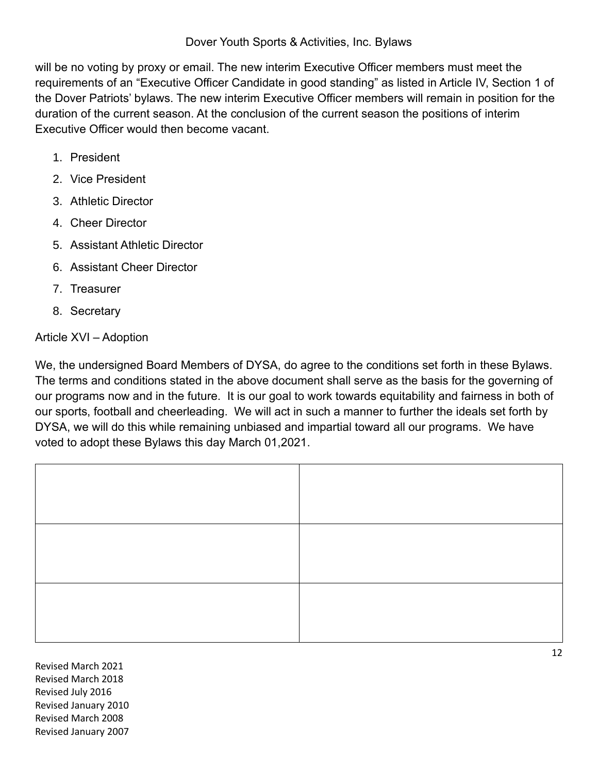will be no voting by proxy or email. The new interim Executive Officer members must meet the requirements of an "Executive Officer Candidate in good standing" as listed in Article IV, Section 1 of the Dover Patriots' bylaws. The new interim Executive Officer members will remain in position for the duration of the current season. At the conclusion of the current season the positions of interim Executive Officer would then become vacant.

- 1. President
- 2. Vice President
- 3. Athletic Director
- 4. Cheer Director
- 5. Assistant Athletic Director
- 6. Assistant Cheer Director
- 7. Treasurer
- 8. Secretary

## Article XVI – Adoption

We, the undersigned Board Members of DYSA, do agree to the conditions set forth in these Bylaws. The terms and conditions stated in the above document shall serve as the basis for the governing of our programs now and in the future. It is our goal to work towards equitability and fairness in both of our sports, football and cheerleading. We will act in such a manner to further the ideals set forth by DYSA, we will do this while remaining unbiased and impartial toward all our programs. We have voted to adopt these Bylaws this day March 01,2021.

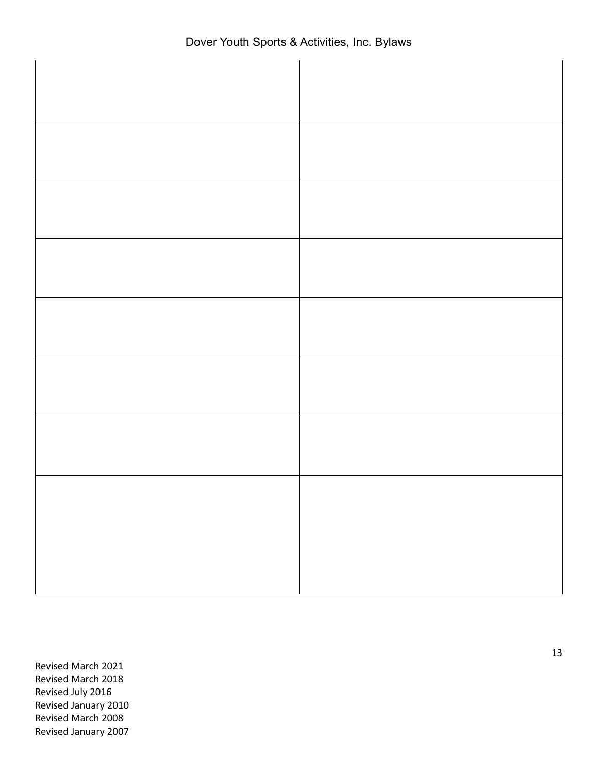| Dover Youth Sports & Activities, Inc. Bylaws |  |
|----------------------------------------------|--|
|                                              |  |
|                                              |  |
|                                              |  |
|                                              |  |
|                                              |  |
|                                              |  |
|                                              |  |
|                                              |  |
|                                              |  |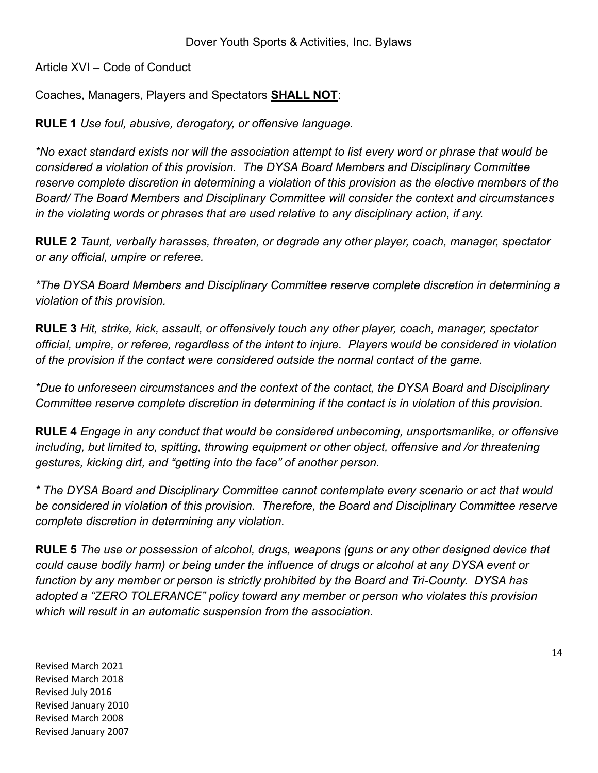Article XVI – Code of Conduct

Coaches, Managers, Players and Spectators **SHALL NOT**:

**RULE 1** *Use foul, abusive, derogatory, or offensive language.*

*\*No exact standard exists nor will the association attempt to list every word or phrase that would be considered a violation of this provision. The DYSA Board Members and Disciplinary Committee reserve complete discretion in determining a violation of this provision as the elective members of the Board/ The Board Members and Disciplinary Committee will consider the context and circumstances in the violating words or phrases that are used relative to any disciplinary action, if any.*

**RULE 2** *Taunt, verbally harasses, threaten, or degrade any other player, coach, manager, spectator or any official, umpire or referee.*

*\*The DYSA Board Members and Disciplinary Committee reserve complete discretion in determining a violation of this provision.*

**RULE 3** *Hit, strike, kick, assault, or offensively touch any other player, coach, manager, spectator official, umpire, or referee, regardless of the intent to injure. Players would be considered in violation of the provision if the contact were considered outside the normal contact of the game.*

*\*Due to unforeseen circumstances and the context of the contact, the DYSA Board and Disciplinary Committee reserve complete discretion in determining if the contact is in violation of this provision.*

**RULE 4** *Engage in any conduct that would be considered unbecoming, unsportsmanlike, or offensive including, but limited to, spitting, throwing equipment or other object, offensive and /or threatening gestures, kicking dirt, and "getting into the face" of another person.*

*\* The DYSA Board and Disciplinary Committee cannot contemplate every scenario or act that would be considered in violation of this provision. Therefore, the Board and Disciplinary Committee reserve complete discretion in determining any violation.*

**RULE 5** *The use or possession of alcohol, drugs, weapons (guns or any other designed device that could cause bodily harm) or being under the influence of drugs or alcohol at any DYSA event or function by any member or person is strictly prohibited by the Board and Tri-County. DYSA has adopted a "ZERO TOLERANCE" policy toward any member or person who violates this provision which will result in an automatic suspension from the association.*